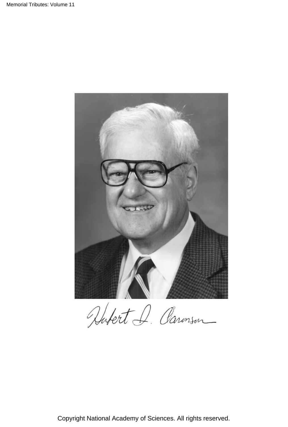

Hubert I. Paronson

Copyright National Academy of Sciences. All rights reserved.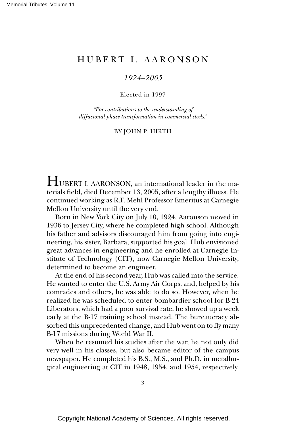## H U B E R T I . A A R O N S O N

## *1924–2005*

## Elected in 1997

*"For contributions to the understanding of diffusional phase transformation in commercial steels."*

## BY JOHN P. HIRTH

HUBERT I. AARONSON, an international leader in the materials field, died December 13, 2005, after a lengthy illness. He continued working as R.F. Mehl Professor Emeritus at Carnegie Mellon University until the very end.

Born in New York City on July 10, 1924, Aaronson moved in 1936 to Jersey City, where he completed high school. Although his father and advisors discouraged him from going into engineering, his sister, Barbara, supported his goal. Hub envisioned great advances in engineering and he enrolled at Carnegie Institute of Technology (CIT), now Carnegie Mellon University, determined to become an engineer.

At the end of his second year, Hub was called into the service. He wanted to enter the U.S. Army Air Corps, and, helped by his comrades and others, he was able to do so. However, when he realized he was scheduled to enter bombardier school for B-24 Liberators, which had a poor survival rate, he showed up a week early at the B-17 training school instead. The bureaucracy absorbed this unprecedented change, and Hub went on to fly many B-17 missions during World War II.

When he resumed his studies after the war, he not only did very well in his classes, but also became editor of the campus newspaper. He completed his B.S., M.S., and Ph.D. in metallurgical engineering at CIT in 1948, 1954, and 1954, respectively.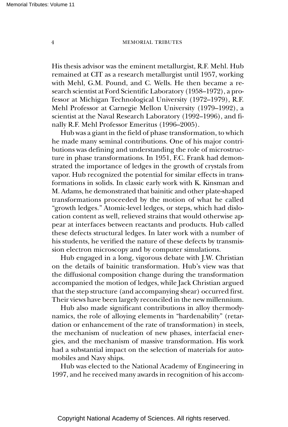[Memorial Tributes: Volume 1](http://www.nap.edu/11912)1

His thesis advisor was the eminent metallurgist, R.F. Mehl. Hub remained at CIT as a research metallurgist until 1957, working with Mehl, G.M. Pound, and C. Wells. He then became a research scientist at Ford Scientific Laboratory (1958–1972), a professor at Michigan Technological University (1972–1979), R.F. Mehl Professor at Carnegie Mellon University (1979–1992), a scientist at the Naval Research Laboratory (1992–1996), and finally R.F. Mehl Professor Emeritus (1996–2005).

Hub was a giant in the field of phase transformation, to which he made many seminal contributions. One of his major contributions was defining and understanding the role of microstructure in phase transformations. In 1951, F.C. Frank had demonstrated the importance of ledges in the growth of crystals from vapor. Hub recognized the potential for similar effects in transformations in solids. In classic early work with K. Kinsman and M. Adams, he demonstrated that bainitic and other plate-shaped transformations proceeded by the motion of what he called "growth ledges." Atomic-level ledges, or steps, which had dislocation content as well, relieved strains that would otherwise appear at interfaces between reactants and products. Hub called these defects structural ledges. In later work with a number of his students, he verified the nature of these defects by transmission electron microscopy and by computer simulations.

Hub engaged in a long, vigorous debate with J.W. Christian on the details of bainitic transformation. Hub's view was that the diffusional composition change during the transformation accompanied the motion of ledges, while Jack Christian argued that the step structure (and accompanying shear) occurred first. Their views have been largely reconciled in the new millennium.

Hub also made significant contributions in alloy thermodynamics, the role of alloying elements in "hardenability" (retardation or enhancement of the rate of transformation) in steels, the mechanism of nucleation of new phases, interfacial energies, and the mechanism of massive transformation. His work had a substantial impact on the selection of materials for automobiles and Navy ships.

Hub was elected to the National Academy of Engineering in 1997, and he received many awards in recognition of his accom-